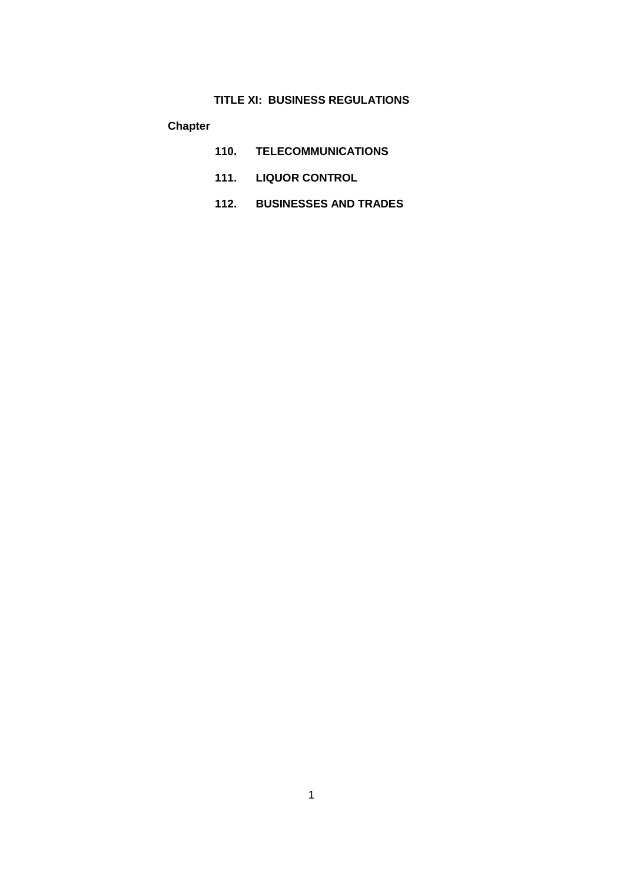**Chapter**

- **110. TELECOMMUNICATIONS**
- **111. LIQUOR CONTROL**
- **112. BUSINESSES AND TRADES**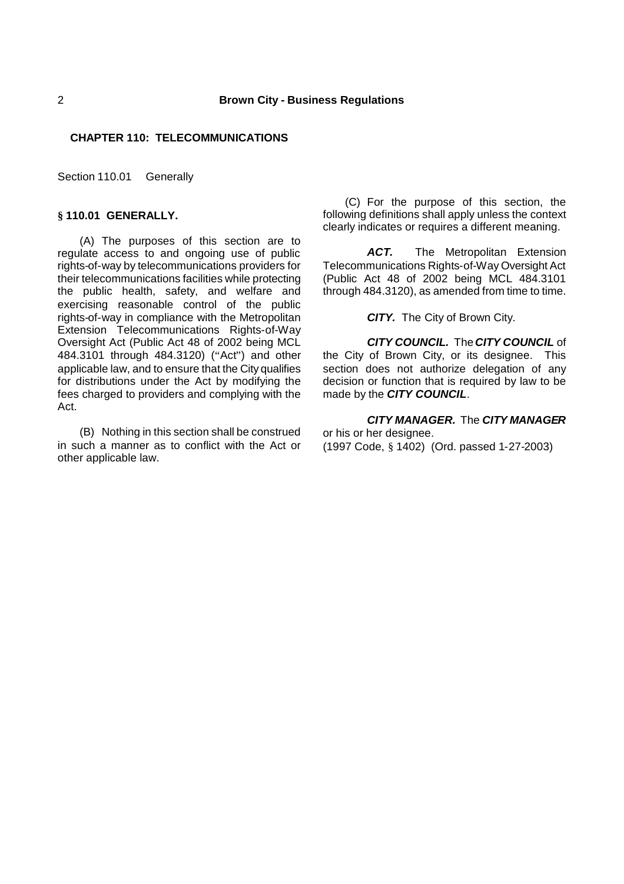# **CHAPTER 110: TELECOMMUNICATIONS**

Section 110.01 Generally

# **§ 110.01 GENERALLY.**

(A) The purposes of this section are to regulate access to and ongoing use of public rights-of-way by telecommunications providers for their telecommunications facilities while protecting the public health, safety, and welfare and exercising reasonable control of the public rights-of-way in compliance with the Metropolitan Extension Telecommunications Rights-of-Way Oversight Act (Public Act 48 of 2002 being MCL 484.3101 through 484.3120) ("Act") and other applicable law, and to ensure that the City qualifies for distributions under the Act by modifying the fees charged to providers and complying with the Act.

(B) Nothing in this section shall be construed in such a manner as to conflict with the Act or other applicable law.

(C) For the purpose of this section, the following definitions shall apply unless the context clearly indicates or requires a different meaning.

ACT. The Metropolitan Extension Telecommunications Rights-of-Way Oversight Act (Public Act 48 of 2002 being MCL 484.3101 through 484.3120), as amended from time to time.

*CITY.* The City of Brown City.

*CITY COUNCIL.* The*CITY COUNCIL* of the City of Brown City, or its designee. This section does not authorize delegation of any decision or function that is required by law to be made by the *CITY COUNCIL*.

*CITY MANAGER.* The *CITY MANAGER* or his or her designee. (1997 Code, § 1402) (Ord. passed 1-27-2003)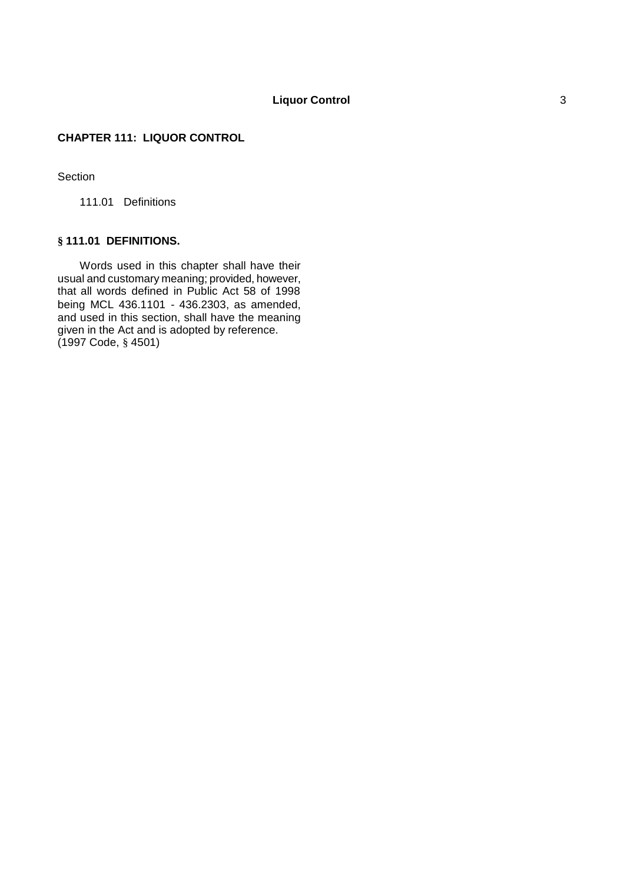# **CHAPTER 111: LIQUOR CONTROL**

# **Section**

111.01 Definitions

# **§ 111.01 DEFINITIONS.**

Words used in this chapter shall have their usual and customary meaning; provided, however, that all words defined in Public Act 58 of 1998 being MCL 436.1101 - 436.2303, as amended, and used in this section, shall have the meaning given in the Act and is adopted by reference. (1997 Code, § 4501)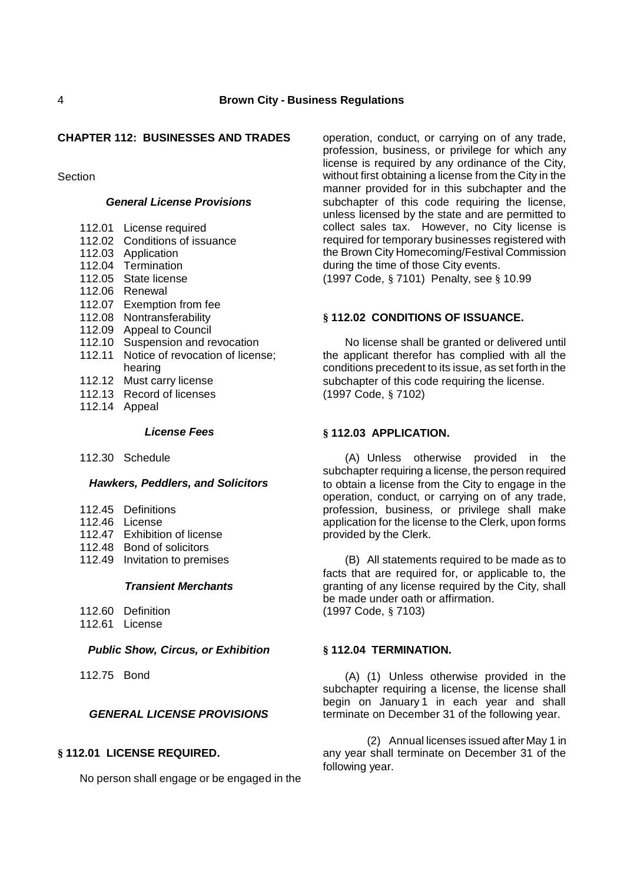# **CHAPTER 112: BUSINESSES AND TRADES**

Section

# *General License Provisions*

- 112.01 License required
- 112.02 Conditions of issuance
- 112.03 Application
- 112.04 Termination
- 112.05 State license
- 112.06 Renewal
- 112.07 Exemption from fee
- 112.08 Nontransferability
- 112.09 Appeal to Council
- 112.10 Suspension and revocation
- 112.11 Notice of revocation of license; hearing
- 112.12 Must carry license
- 112.13 Record of licenses
- 112.14 Appeal

# *License Fees*

112.30 Schedule

## *Hawkers, Peddlers, and Solicitors*

- 112.45 Definitions
- 112.46 License
- 112.47 Exhibition of license
- 112.48 Bond of solicitors
- 112.49 Invitation to premises

## *Transient Merchants*

- 112.60 Definition
- 112.61 License

# *Public Show, Circus, or Exhibition*

112.75 Bond

# *GENERAL LICENSE PROVISIONS*

# **§ 112.01 LICENSE REQUIRED.**

No person shall engage or be engaged in the

operation, conduct, or carrying on of any trade, profession, business, or privilege for which any license is required by any ordinance of the City, without first obtaining a license from the City in the manner provided for in this subchapter and the subchapter of this code requiring the license, unless licensed by the state and are permitted to collect sales tax. However, no City license is required for temporary businesses registered with the Brown City Homecoming/Festival Commission during the time of those City events.

(1997 Code, § 7101) Penalty, see § 10.99

# **§ 112.02 CONDITIONS OF ISSUANCE.**

No license shall be granted or delivered until the applicant therefor has complied with all the conditions precedent to its issue, as set forth in the subchapter of this code requiring the license. (1997 Code, § 7102)

## **§ 112.03 APPLICATION.**

(A) Unless otherwise provided in the subchapter requiring a license, the person required to obtain a license from the City to engage in the operation, conduct, or carrying on of any trade, profession, business, or privilege shall make application for the license to the Clerk, upon forms provided by the Clerk.

(B) All statements required to be made as to facts that are required for, or applicable to, the granting of any license required by the City, shall be made under oath or affirmation. (1997 Code, § 7103)

# **§ 112.04 TERMINATION.**

(A) (1) Unless otherwise provided in the subchapter requiring a license, the license shall begin on January 1 in each year and shall terminate on December 31 of the following year.

(2) Annual licenses issued after May 1 in any year shall terminate on December 31 of the following year.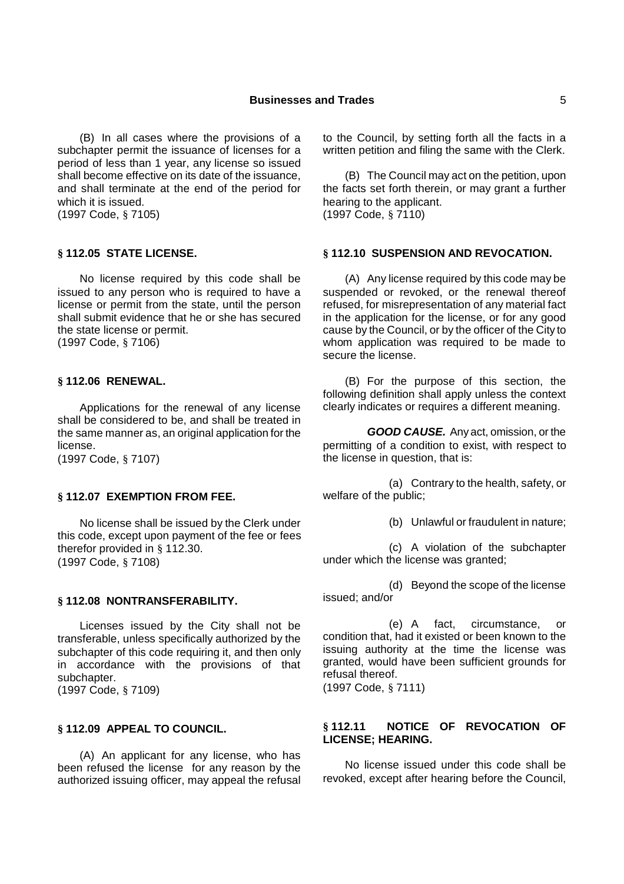(B) In all cases where the provisions of a subchapter permit the issuance of licenses for a period of less than 1 year, any license so issued shall become effective on its date of the issuance, and shall terminate at the end of the period for which it is issued. (1997 Code, § 7105)

### **§ 112.05 STATE LICENSE.**

No license required by this code shall be issued to any person who is required to have a license or permit from the state, until the person shall submit evidence that he or she has secured the state license or permit. (1997 Code, § 7106)

### **§ 112.06 RENEWAL.**

Applications for the renewal of any license shall be considered to be, and shall be treated in the same manner as, an original application for the license.

(1997 Code, § 7107)

### **§ 112.07 EXEMPTION FROM FEE.**

No license shall be issued by the Clerk under this code, except upon payment of the fee or fees therefor provided in § 112.30. (1997 Code, § 7108)

#### **§ 112.08 NONTRANSFERABILITY.**

Licenses issued by the City shall not be transferable, unless specifically authorized by the subchapter of this code requiring it, and then only in accordance with the provisions of that subchapter. (1997 Code, § 7109)

## **§ 112.09 APPEAL TO COUNCIL.**

(A) An applicant for any license, who has been refused the license for any reason by the authorized issuing officer, may appeal the refusal

to the Council, by setting forth all the facts in a written petition and filing the same with the Clerk.

(B) The Council may act on the petition, upon the facts set forth therein, or may grant a further hearing to the applicant. (1997 Code, § 7110)

#### **§ 112.10 SUSPENSION AND REVOCATION.**

(A) Any license required by this code may be suspended or revoked, or the renewal thereof refused, for misrepresentation of any material fact in the application for the license, or for any good cause by the Council, or by the officer of the City to whom application was required to be made to secure the license.

(B) For the purpose of this section, the following definition shall apply unless the context clearly indicates or requires a different meaning.

*GOOD CAUSE.* Any act, omission, or the permitting of a condition to exist, with respect to the license in question, that is:

(a) Contrary to the health, safety, or welfare of the public;

(b) Unlawful or fraudulent in nature;

(c) A violation of the subchapter under which the license was granted;

(d) Beyond the scope of the license issued; and/or

(e) A fact, circumstance, or condition that, had it existed or been known to the issuing authority at the time the license was granted, would have been sufficient grounds for refusal thereof.

(1997 Code, § 7111)

# **§ 112.11 NOTICE OF REVOCATION OF LICENSE; HEARING.**

No license issued under this code shall be revoked, except after hearing before the Council,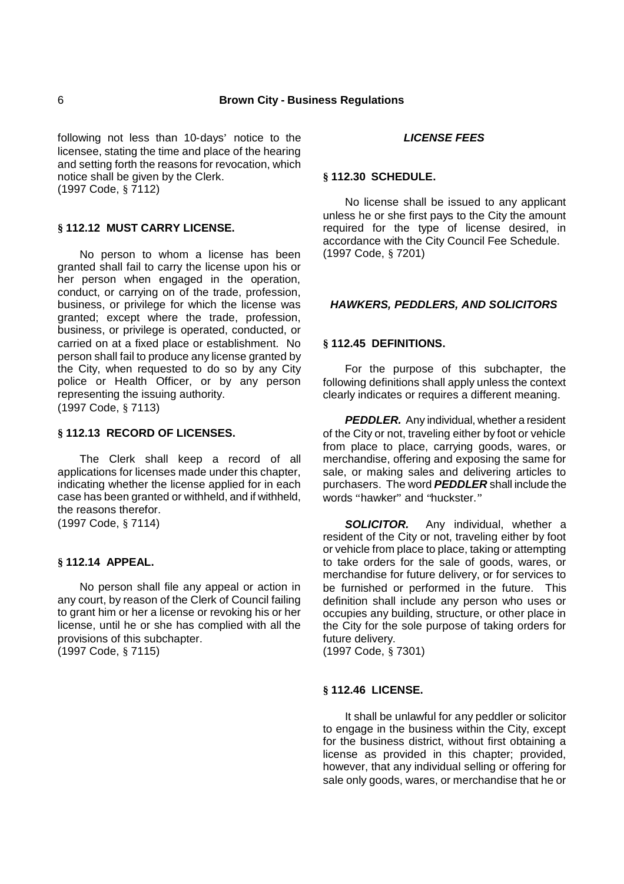following not less than 10-days' notice to the licensee, stating the time and place of the hearing and setting forth the reasons for revocation, which notice shall be given by the Clerk. (1997 Code, § 7112)

# **§ 112.12 MUST CARRY LICENSE.**

No person to whom a license has been granted shall fail to carry the license upon his or her person when engaged in the operation, conduct, or carrying on of the trade, profession, business, or privilege for which the license was granted; except where the trade, profession, business, or privilege is operated, conducted, or carried on at a fixed place or establishment. No person shall fail to produce any license granted by the City, when requested to do so by any City police or Health Officer, or by any person representing the issuing authority. (1997 Code, § 7113)

# **§ 112.13 RECORD OF LICENSES.**

The Clerk shall keep a record of all applications for licenses made under this chapter, indicating whether the license applied for in each case has been granted or withheld, and if withheld, the reasons therefor.

(1997 Code, § 7114)

# **§ 112.14 APPEAL.**

No person shall file any appeal or action in any court, by reason of the Clerk of Council failing to grant him or her a license or revoking his or her license, until he or she has complied with all the provisions of this subchapter. (1997 Code, § 7115)

#### *LICENSE FEES*

### **§ 112.30 SCHEDULE.**

No license shall be issued to any applicant unless he or she first pays to the City the amount required for the type of license desired, in accordance with the City Council Fee Schedule. (1997 Code, § 7201)

## *HAWKERS, PEDDLERS, AND SOLICITORS*

## **§ 112.45 DEFINITIONS.**

For the purpose of this subchapter, the following definitions shall apply unless the context clearly indicates or requires a different meaning.

*PEDDLER.* Any individual, whether a resident of the City or not, traveling either by foot or vehicle from place to place, carrying goods, wares, or merchandise, offering and exposing the same for sale, or making sales and delivering articles to purchasers. The word *PEDDLER* shall include the words "hawker" and "huckster."

*SOLICITOR.* Any individual, whether a resident of the City or not, traveling either by foot or vehicle from place to place, taking or attempting to take orders for the sale of goods, wares, or merchandise for future delivery, or for services to be furnished or performed in the future. This definition shall include any person who uses or occupies any building, structure, or other place in the City for the sole purpose of taking orders for future delivery.

(1997 Code, § 7301)

### **§ 112.46 LICENSE.**

It shall be unlawful for any peddler or solicitor to engage in the business within the City, except for the business district, without first obtaining a license as provided in this chapter; provided, however, that any individual selling or offering for sale only goods, wares, or merchandise that he or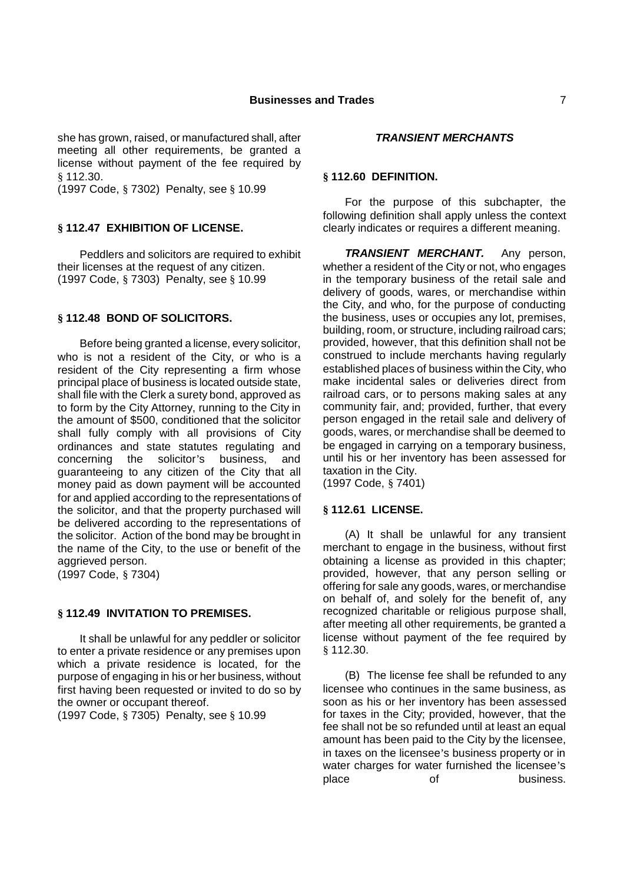she has grown, raised, or manufactured shall, after meeting all other requirements, be granted a license without payment of the fee required by § 112.30.

(1997 Code, § 7302) Penalty, see § 10.99

# **§ 112.47 EXHIBITION OF LICENSE.**

Peddlers and solicitors are required to exhibit their licenses at the request of any citizen. (1997 Code, § 7303) Penalty, see § 10.99

#### **§ 112.48 BOND OF SOLICITORS.**

Before being granted a license, every solicitor, who is not a resident of the City, or who is a resident of the City representing a firm whose principal place of business is located outside state, shall file with the Clerk a surety bond, approved as to form by the City Attorney, running to the City in the amount of \$500, conditioned that the solicitor shall fully comply with all provisions of City ordinances and state statutes regulating and concerning the solicitor's business, and guaranteeing to any citizen of the City that all money paid as down payment will be accounted for and applied according to the representations of the solicitor, and that the property purchased will be delivered according to the representations of the solicitor. Action of the bond may be brought in the name of the City, to the use or benefit of the aggrieved person.

(1997 Code, § 7304)

## **§ 112.49 INVITATION TO PREMISES.**

It shall be unlawful for any peddler or solicitor to enter a private residence or any premises upon which a private residence is located, for the purpose of engaging in his or her business, without first having been requested or invited to do so by the owner or occupant thereof.

(1997 Code, § 7305) Penalty, see § 10.99

### *TRANSIENT MERCHANTS*

### **§ 112.60 DEFINITION.**

For the purpose of this subchapter, the following definition shall apply unless the context clearly indicates or requires a different meaning.

*TRANSIENT MERCHANT.* Any person, whether a resident of the City or not, who engages in the temporary business of the retail sale and delivery of goods, wares, or merchandise within the City, and who, for the purpose of conducting the business, uses or occupies any lot, premises, building, room, or structure, including railroad cars; provided, however, that this definition shall not be construed to include merchants having regularly established places of business within the City, who make incidental sales or deliveries direct from railroad cars, or to persons making sales at any community fair, and; provided, further, that every person engaged in the retail sale and delivery of goods, wares, or merchandise shall be deemed to be engaged in carrying on a temporary business, until his or her inventory has been assessed for taxation in the City. (1997 Code, § 7401)

#### **§ 112.61 LICENSE.**

(A) It shall be unlawful for any transient merchant to engage in the business, without first obtaining a license as provided in this chapter; provided, however, that any person selling or offering for sale any goods, wares, or merchandise on behalf of, and solely for the benefit of, any recognized charitable or religious purpose shall, after meeting all other requirements, be granted a license without payment of the fee required by § 112.30.

(B) The license fee shall be refunded to any licensee who continues in the same business, as soon as his or her inventory has been assessed for taxes in the City; provided, however, that the fee shall not be so refunded until at least an equal amount has been paid to the City by the licensee, in taxes on the licensee's business property or in water charges for water furnished the licensee's place of business.